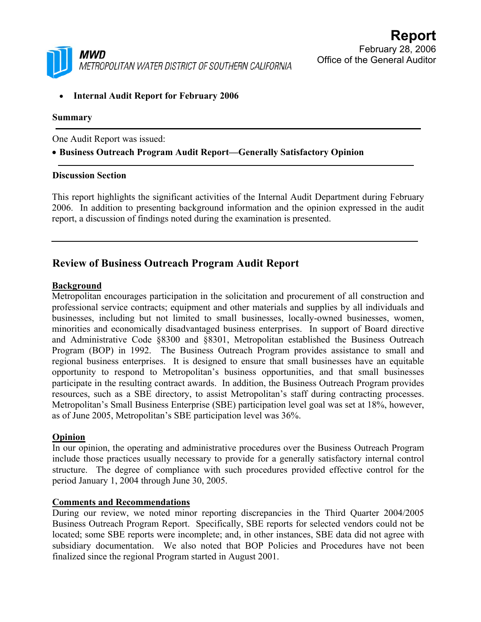

• **Internal Audit Report for February 2006** 

### **Summary**

One Audit Report was issued:

## • **Business Outreach Program Audit Report—Generally Satisfactory Opinion**

#### **Discussion Section**

This report highlights the significant activities of the Internal Audit Department during February 2006. In addition to presenting background information and the opinion expressed in the audit report, a discussion of findings noted during the examination is presented.

# **Review of Business Outreach Program Audit Report**

## **Background**

Metropolitan encourages participation in the solicitation and procurement of all construction and professional service contracts; equipment and other materials and supplies by all individuals and businesses, including but not limited to small businesses, locally-owned businesses, women, minorities and economically disadvantaged business enterprises. In support of Board directive and Administrative Code §8300 and §8301, Metropolitan established the Business Outreach Program (BOP) in 1992. The Business Outreach Program provides assistance to small and regional business enterprises. It is designed to ensure that small businesses have an equitable opportunity to respond to Metropolitan's business opportunities, and that small businesses participate in the resulting contract awards. In addition, the Business Outreach Program provides resources, such as a SBE directory, to assist Metropolitan's staff during contracting processes. Metropolitan's Small Business Enterprise (SBE) participation level goal was set at 18%, however, as of June 2005, Metropolitan's SBE participation level was 36%.

## **Opinion**

In our opinion, the operating and administrative procedures over the Business Outreach Program include those practices usually necessary to provide for a generally satisfactory internal control structure. The degree of compliance with such procedures provided effective control for the period January 1, 2004 through June 30, 2005.

## **Comments and Recommendations**

During our review, we noted minor reporting discrepancies in the Third Quarter 2004/2005 Business Outreach Program Report. Specifically, SBE reports for selected vendors could not be located; some SBE reports were incomplete; and, in other instances, SBE data did not agree with subsidiary documentation. We also noted that BOP Policies and Procedures have not been finalized since the regional Program started in August 2001.